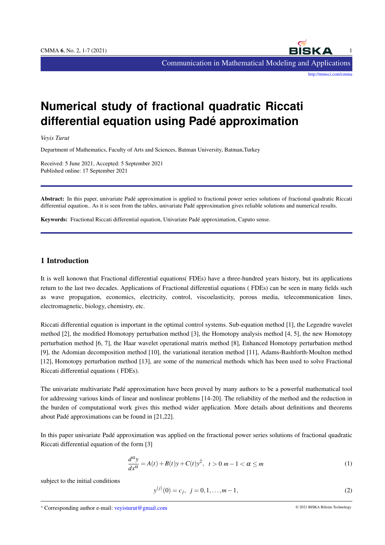

# **Numerical study of fractional quadratic Riccati differential equation using Pade approximation ´**

*Veyis Turut*

Department of Mathematics, Faculty of Arts and Sciences, Batman University, Batman,Turkey

Received: 5 June 2021, Accepted: 5 September 2021 Published online: 17 September 2021

Abstract: In this paper, univariate Padé approximation is applied to fractional power series solutions of fractional quadratic Riccati differential equation.. As it is seen from the tables, univariate Padé approximation gives reliable solutions and numerical results.

Keywords: Fractional Riccati differential equation, Univariate Pade approximation, Caputo sense. ´

# 1 Introduction

It is well konown that Fractional differential equations( FDEs) have a three-hundred years history, but its applications return to the last two decades. Applications of Fractional differential equations ( FDEs) can be seen in many fields such as wave propagation, economics, electricity, control, viscoelasticity, porous media, telecommunication lines, electromagnetic, biology, chemistry, etc.

Riccati differential equation is important in the optimal control systems. Sub-equation method [1], the Legendre wavelet method [2], the modified Homotopy perturbation method [3], the Homotopy analysis method [4, 5], the new Homotopy perturbation method [6, 7], the Haar wavelet operational matrix method [8], Enhanced Homotopy perturbation method [9], the Adomian decomposition method [10], the variational iteration method [11], Adams-Bashforth-Moulton method [12], Homotopy perturbation method [13], are some of the numerical methods which has been used to solve Fractional Riccati differential equations ( FDEs).

The univariate multivariate Pade approximation have been proved by many authors to be a powerful mathematical tool ´ for addressing various kinds of linear and nonlinear problems [14-20]. The reliability of the method and the reduction in the burden of computational work gives this method wider application. More details about definitions and theorems about Pade approximations can be found in [21,22]. ´

In this paper univariate Pade approximation was applied on the frractional power series solutions of fractional quadratic ´ Riccati differential equation of the form [3]

$$
\frac{d^{\alpha}y}{dx^{\alpha}} = A(t) + B(t)y + C(t)y^{2}, \quad t > 0 \quad m - 1 < \alpha \leq m
$$
\n<sup>(1)</sup>

subject to the initial conditions

$$
y^{(j)}(0) = c_j, \ \ j = 0, 1, \dots, m-1,\tag{2}
$$

<sup>∗</sup> Corresponding author e-mail: veyisturut@gmail.com © 2021 BISKA Bilisim Technology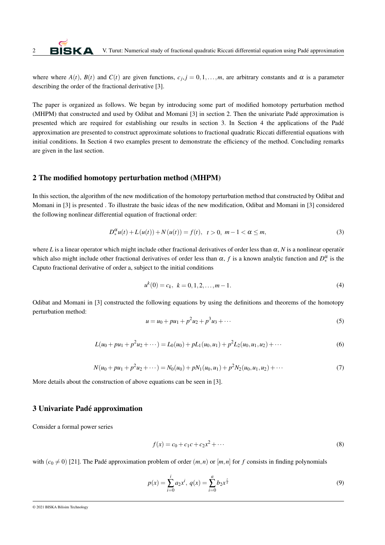where where  $A(t)$ ,  $B(t)$  and  $C(t)$  are given functions,  $c_j$ ,  $j = 0,1,...,m$ , are arbitrary constants and  $\alpha$  is a parameter describing the order of the fractional derivative [3].

The paper is organized as follows. We began by introducing some part of modified homotopy perturbation method (MHPM) that constructed and used by Odibat and Momani [3] in section 2. Then the univariate Pade approximation is ´ presented which are required for establishing our results in section 3. In Section 4 the applications of the Padé approximation are presented to construct approximate solutions to fractional quadratic Riccati differential equations with initial conditions. In Section 4 two examples present to demonstrate the efficiency of the method. Concluding remarks are given in the last section.

#### 2 The modified homotopy perturbation method (MHPM)

In this section, the algorithm of the new modification of the homotopy perturbation method that constructed by Odibat and Momani in [3] is presented . To illustrate the basic ideas of the new modification, Odibat and Momani in [3] considered the following nonlinear differential equation of fractional order:

$$
D_{*}^{\alpha}u(t) + L(u(t)) + N(u(t)) = f(t), \quad t > 0, \ m - 1 < \alpha \leq m,
$$
\n(3)

where *L* is a linear operator which might include other fractional derivatives of order less than  $\alpha$ , *N* is a nonlinear operator which also might include other fractional derivatives of order less than  $\alpha$ ,  $f$  is a known analytic function and  $D_*^{\alpha}$  is the Caputo fractional derivative of order a, subject to the initial conditions

$$
u^{k}(0) = c_{k}, \ k = 0, 1, 2, \dots, m - 1.
$$
\n<sup>(4)</sup>

Odibat and Momani in [3] constructed the following equations by using the definitions and theorems of the homotopy perturbation method:

$$
u = u_0 + pu_1 + p^2 u_2 + p^3 u_3 + \cdots
$$
 (5)

$$
L(u_0 + pu_1 + p^2 u_2 + \cdots) = L_0(u_0) + pL_1(u_0, u_1) + p^2 L_2(u_0, u_1, u_2) + \cdots
$$
\n(6)

$$
N(u_0 + pu_1 + p^2 u_2 + \cdots) = N_0(u_0) + pN_1(u_0, u_1) + p^2 N_2(u_0, u_1, u_2) + \cdots
$$
\n(7)

More details about the construction of above equations can be seen in [3].

## 3 Univariate Pade approximation ´

Consider a formal power series

<span id="page-1-0"></span>
$$
f(x) = c_0 + c_1 c + c_2 x^2 + \cdots
$$
 (8)

with  $(c_0 \neq 0)$  [21]. The Padé approximation problem of order  $(m, n)$  or  $[m, n]$  for *f* consists in finding polynomials

$$
p(x) = \sum_{i=0}^{i} a_2 x^i, \ q(x) = \sum_{i=0}^{a} b_2 x^{\frac{z}{x}}
$$
 (9)

<sup>© 2021</sup> BISKA Bilisim Technology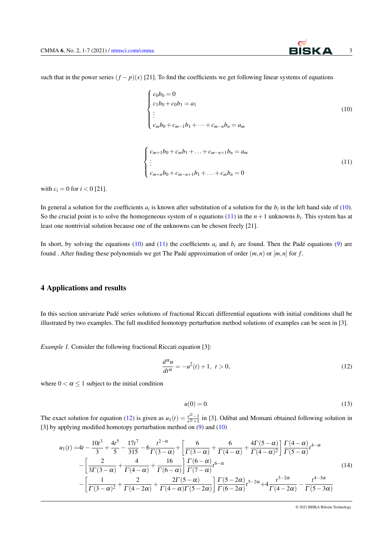such that in the power series  $(f - p)(x)$  [21]. To find the coefficients we get following linear systems of equations

<span id="page-2-1"></span><span id="page-2-0"></span>
$$
\begin{cases}\nc_0b_0 = 0 \\
c_1b_0 + c_0b_1 = a_1 \\
\vdots \\
c_mb_0 + c_{m-1}b_1 + \dots + c_{m-n}b_n = a_m\n\end{cases}
$$
\n(10)\n
$$
\begin{cases}\nc_{m+1}b_0 + c_mb_1 + \dots + c_{m-n+1}b_n = a_m \\
\vdots \\
c_{m+n}b_0 + c_{m-n+1}b_1 + \dots + c_mb_n = 0\n\end{cases}
$$
\n(11)

with  $c_i = 0$  for  $i < 0$  [21].

In general a solution for the coefficients  $a_i$  is known after substitution of a solution for the  $b_i$  in the left hand side of [\(10\)](#page-2-0). So the crucial point is to solve the homogeneous system of *n* equations [\(11\)](#page-2-1) in the  $n+1$  unknowns  $b_i$ . This system has at least one nontrivial solution because one of the unknowns can be chosen freely [21].

In short, by solving the equations [\(10\)](#page-2-0) and [\(11\)](#page-2-1) the coefficients  $a_i$  and  $b_i$  are found. Then the Padé equations ([9\)](#page-1-0) are found . After finding these polynomials we get The Padé approximation of order  $(m, n)$  or  $[m, n]$  for *f*.

# 4 Applications and results

In this section univariate Pade series solutions of fractional Riccati differential equations with initial conditions shall be ´ illustrated by two examples. The full modified homotopy perturbation method solutions of examples can be seen in [3].

*Example 1.* Consider the following fractional Riccati equation [3]:

<span id="page-2-2"></span>
$$
\frac{d^{\alpha}u}{dt^{\alpha}} = -u^2(t) + 1, \ t > 0,
$$
\n(12)

where  $0 < \alpha \leq 1$  subject to the initial condition

<span id="page-2-3"></span>
$$
u(0) = 0.\t(13)
$$

The exact solution for equation [\(12\)](#page-2-2) is given as  $u_1(t) = \frac{e^{2t}-1}{e^{2t}+1}$  $\frac{e^{2t}-1}{e^{2t}+1}$  in [3]. Odibat and Momani obtained following solution in [3] by applying modified homotopy perturbation method on [\(9\)](#page-1-0) and [\(10\)](#page-2-0)

$$
u_{1}(t) = 4t - \frac{10t^{3}}{3} + \frac{4t^{5}}{5} - \frac{17t^{7}}{315} - 6\frac{t^{2-\alpha}}{\Gamma(3-\alpha)} + \left[\frac{6}{\Gamma(3-\alpha)} + \frac{6}{\Gamma(4-\alpha)} + \frac{4\Gamma(5-\alpha)}{\Gamma(4-\alpha)^{2}}\right] \frac{\Gamma(4-\alpha)}{\Gamma(5-\alpha)}t^{4-\alpha}
$$
  

$$
- \left[\frac{2}{3\Gamma(3-\alpha)} + \frac{4}{\Gamma(4-\alpha)} + \frac{16}{\Gamma(6-\alpha)}\right] \frac{\Gamma(6-\alpha)}{\Gamma(7-\alpha)}t^{6-\alpha}
$$
  

$$
- \left[\frac{1}{\Gamma(3-\alpha)^{2}} + \frac{2}{\Gamma(4-2\alpha)} + \frac{2\Gamma(5-\alpha)}{\Gamma(4-\alpha)\Gamma(5-2\alpha)}\right] \frac{\Gamma(5-2\alpha)}{\Gamma(6-2\alpha)}t^{5-2\alpha} + 4\frac{t^{3-2\alpha}}{\Gamma(4-2\alpha)} - \frac{t^{4-3\alpha}}{\Gamma(5-3\alpha)}
$$
(14)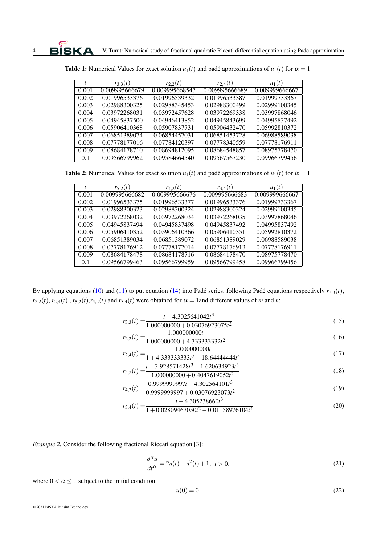|       | $r_{3,3}(t)$   | $r_{2,2}(t)$   | $r_{2,4}(t)$   | $u_1(t)$       |
|-------|----------------|----------------|----------------|----------------|
| 0.001 | 0.009995666679 | 0.009995668547 | 0.009995666689 | 0.009999666667 |
| 0.002 | 0.01996533376  | 0.01996539332  | 0.01996533387  | 0.01999733367  |
| 0.003 | 0.02988300325  | 0.02988345453  | 0.02988300499  | 0.02999100345  |
| 0.004 | 0.03972268031  | 0.03972457628  | 0.03972269338  | 0.03997868046  |
| 0.005 | 0.04945837500  | 0.04946413852  | 0.04945843699  | 0.04995837492  |
| 0.006 | 0.05906410368  | 0.05907837731  | 0.05906432470  | 0.05992810372  |
| 0.007 | 0.06851389074  | 0.06854457031  | 0.06851453728  | 0.06988589038  |
| 0.008 | 0.07778177016  | 0.07784120397  | 0.07778340559  | 0.07778176911  |
| 0.009 | 0.08684178710  | 0.08694812095  | 0.08684548857  | 0.08975778470  |
| 0.1   | 0.09566799962  | 0.09584664540  | 0.09567567230  | 0.09966799456  |

**Table 1:** Numerical Values for exact solution  $u_1(t)$  and padé approximations of  $u_1(t)$  for  $\alpha = 1$ .

**Table 2:** Numerical Values for exact solution  $u_1(t)$  and padé approximations of  $u_1(t)$  for  $\alpha = 1$ .

|       | $r_{5,2}(t)$   | $r_{4,2}(t)$   | $r_{3,4}(t)$   | $u_1(t)$       |
|-------|----------------|----------------|----------------|----------------|
| 0.001 | 0.009995666682 | 0.009995666676 | 0.009995666683 | 0.009999666667 |
| 0.002 | 0.01996533375  | 0.01996533377  | 0.01996533376  | 0.01999733367  |
| 0.003 | 0.02988300323  | 0.02988300324  | 0.02988300324  | 0.02999100345  |
| 0.004 | 0.03972268032  | 0.03972268034  | 0.03972268035  | 0.03997868046  |
| 0.005 | 0.04945837494  | 0.04945837498  | 0.04945837492  | 0.04995837492  |
| 0.006 | 0.05906410352  | 0.05906410366  | 0.05906410351  | 0.05992810372  |
| 0.007 | 0.06851389034  | 0.06851389072  | 0.06851389029  | 0.06988589038  |
| 0.008 | 0.07778176912  | 0.07778177014  | 0.07778176913  | 0.07778176911  |
| 0.009 | 0.08684178478  | 0.08684178716  | 0.08684178470  | 0.08975778470  |
| 0.1   | 0.09566799463  | 0.09566799959  | 0.09566799458  | 0.09966799456  |

By applying equations [\(10\)](#page-2-0) and [\(11\)](#page-2-1) to put equation [\(14\)](#page-2-3) into Padé series, following Padé equations respectively  $r_{3,3}(t)$ ,  $r_{2,2}(t)$ ,  $r_{2,4}(t)$ ,  $r_{5,2}(t)$ ,  $r_{4,2}(t)$  and  $r_{3,4}(t)$  were obtained for  $\alpha = 1$  and different values of *m* and *n*;

$$
r_{3,3}(t) = \frac{t - 4.3025641042t^3}{1.000000000 + 0.03076923075t^2}
$$
\n
$$
(15)
$$

$$
r_{2,2}(t) = \frac{1.000000000t}{1.0000000000} + 4.333333332t^2
$$
\n
$$
1.000000000t
$$
\n(16)

$$
r_{2,4}(t) = \frac{1.00000000t}{1 + 4.333333333t^2 + 18.6444444t^4}
$$
\n
$$
t - 3.928571428t^3 - 1.620634923t^5
$$
\n(12)

$$
r_{5,2}(t) = \frac{t - 3.928571428t^3 - 1.620634923t^5}{1.0000000000 + 0.4047619052t^2}
$$
\n
$$
(18)
$$

$$
r_{4,2}(t) = \frac{0.9999999997t - 4.302564101t^3}{0.99999999997 + 0.03076923073t^2}
$$
\n
$$
(19)
$$

$$
r_{3,4}(t) = \frac{t - 4.305238660t^3}{1 + 0.02809467050t^2 - 0.01158976104t^4}
$$
(20)

*Example 2.* Consider the following fractional Riccati equation [3]:

<span id="page-3-1"></span>
$$
\frac{d^{\alpha}u}{dt^{\alpha}} = 2u(t) - u^2(t) + 1, \ t > 0,
$$
\n(21)

where  $0 < \alpha \leq 1$  subject to the initial condition

<span id="page-3-0"></span>
$$
u(0) = 0.\t(22)
$$

<sup>© 2021</sup> BISKA Bilisim Technology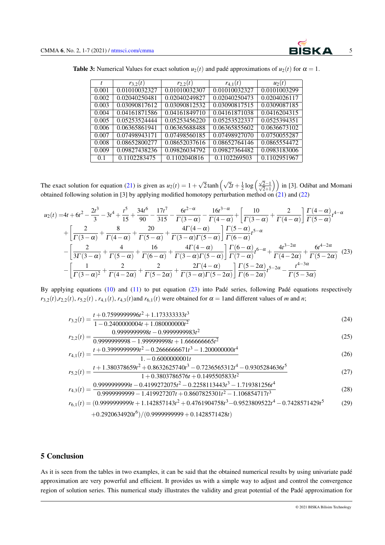<span id="page-4-0"></span>

| <b>Table 3:</b> Numerical Values for exact solution $u_2(t)$ and padé approximations of $u_2(t)$ for $\alpha = 1$ . |  |
|---------------------------------------------------------------------------------------------------------------------|--|
|---------------------------------------------------------------------------------------------------------------------|--|

|       | $r_{3,2}(t)$  | $r_{2,2}(t)$  | $r_{4,1}(t)$  | $u_2(t)$     |
|-------|---------------|---------------|---------------|--------------|
| 0.001 | 0.01010032327 | 0.01010032307 | 0.01010032327 | 0.0101003299 |
| 0.002 | 0.02040250481 | 0.02040249827 | 0.02040250473 | 0.0204026117 |
| 0.003 | 0.03090817612 | 0.03090812532 | 0.03090817515 | 0.0309087185 |
| 0.004 | 0.04161871586 | 0.04161849710 | 0.04161871038 | 0.0416204315 |
| 0.005 | 0.05253524444 | 0.05253456220 | 0.05253522337 | 0.0525394351 |
| 0.006 | 0.06365861941 | 0.06365688488 | 0.06365855602 | 0.0636673102 |
| 0.007 | 0.07498943171 | 0.07498560185 | 0.07498927070 | 0.0750055287 |
| 0.008 | 0.08652800277 | 0.08652037616 | 0.08652764146 | 0.0865554472 |
| 0.009 | 0.09827438236 | 0.09826034792 | 0.09827364482 | 0.0983183006 |
| 0.1   | 0.1102283475  | 0.1102040816  | 0.1102269503  | 0.1102951967 |

The exact solution for equation [\(21\)](#page-3-0) is given as  $u_2(t) = 1 +$  $\sqrt{2}$ tanh  $\left(\sqrt{2}t + \frac{1}{2}\log\left(\frac{\sqrt{2}-1}{\sqrt{2}+1}\right)\right)$  $\left(\frac{\overline{2}-1}{\overline{2}+1}\right)$  in [3]. Odibat and Momani obtained following solution in [3] by applying modified homotopy perturbation method on [\(21\)](#page-3-0) and [\(22\)](#page-3-1)

$$
u_{2}(t) = 4t + 6t^{2} - \frac{2t^{3}}{3} - 3t^{4} + \frac{t^{5}}{15} + \frac{34t^{6}}{90} - \frac{17t^{7}}{315} - \frac{6t^{2-\alpha}}{\Gamma(3-\alpha)} - \frac{16t^{3-\alpha}}{\Gamma(4-\alpha)} + \left[\frac{10}{\Gamma(3-\alpha)} + \frac{2}{\Gamma(4-\alpha)}\right] \frac{\Gamma(4-\alpha)}{\Gamma(5-\alpha)}t^{4-\alpha} + \frac{8}{\Gamma(3-\alpha)} + \frac{20}{\Gamma(4-\alpha)} + \frac{4\Gamma(4-\alpha)}{\Gamma(3-\alpha)\Gamma(5-\alpha)}\right] \frac{\Gamma(5-\alpha)}{\Gamma(6-\alpha)}t^{5-\alpha} - \left[\frac{2}{3\Gamma(3-\alpha)} + \frac{4}{\Gamma(5-\alpha)} + \frac{16}{\Gamma(6-\alpha)} + \frac{4\Gamma(4-\alpha)}{\Gamma(3-\alpha)\Gamma(5-\alpha)}\right] \frac{\Gamma(6-\alpha)}{\Gamma(7-\alpha)}t^{6-\alpha} + \frac{4t^{3-2\alpha}}{\Gamma(4-2\alpha)} + \frac{6t^{4-2\alpha}}{\Gamma(5-2\alpha)} \tag{23}
$$

$$
- \left[\frac{1}{\Gamma(3-\alpha)^{2}} + \frac{2}{\Gamma(4-2\alpha)} + \frac{2\Gamma(4-\alpha)}{\Gamma(5-2\alpha)}\right] \frac{\Gamma(5-2\alpha)}{\Gamma(6-2\alpha)}t^{5-2\alpha} - \frac{t^{4-3\alpha}}{\Gamma(5-3\alpha)} \tag{23}
$$

By applying equations  $(10)$  and  $(11)$  to put equation  $(23)$  into Padé series, following Padé equations respectively  $r_{3,2}(t)$ ,  $r_{2,2}(t)$ ,  $r_{5,2}(t)$ ,  $r_{4,1}(t)$ ,  $r_{4,3}(t)$  and  $r_{6,1}(t)$  were obtained for  $\alpha = 1$  and different values of *m* and *n*;

$$
r_{3,2}(t) = \frac{t + 0.759999996t^2 + 1.173333333t^3}{1 - 0.2400000004t + 1.0800000002}
$$
\n
$$
(24)
$$

1−0.2400000004*t* +1.080000000*t* 2 *<sup>r</sup>*2,2(*t*) = <sup>0</sup>.9999999998*<sup>t</sup>* <sup>−</sup>0.9999999983*<sup>t</sup>* 2

0.9999999998−1.999999998*t* +1.666666665*t* 2 (25)

$$
r_{4,1}(t) = \frac{t + 0.3999999999t^2 - 0.2666666671t^3 - 1.200000000t^4}{1. - 0.6000000001t}
$$
\n
$$
(26)
$$

$$
r_{5,2}(t) = \frac{t + 1.380378659t^2 + 0.8632625740t^3 - 0.7236565312t^4 - 0.9305284636t^5}{1 + 0.3803786576t + 0.1495505833t^2}
$$
(27)

$$
r_{4,3}(t) = \frac{0.9999999999t - 0.4199272075t^2 - 0.2258113443t^3 - 1.719381256t^4}{0.99999999999 - 1.419927207t + 0.8607825301t^2 - 1.106854717t^3}
$$
\n
$$
(28)
$$

$$
r_{6,1}(t) = (0.9999999999t + 1.142857143t^2 + 0.4761904758t^3 - 0.9523809522t^4 - 0.7428571429t^5
$$
\n
$$
+ 0.2920634920t^6) / (0.9999999999 + 0.1428571428t)
$$
\n(29)

## 5 Conclusion

As it is seen from the tables in two examples, it can be said that the obtained numerical results by using univariate padé approximation are very powerful and efficient. It provides us with a simple way to adjust and control the convergence region of solution series. This numerical study illustrates the validity and great potential of the Pade approximation for ´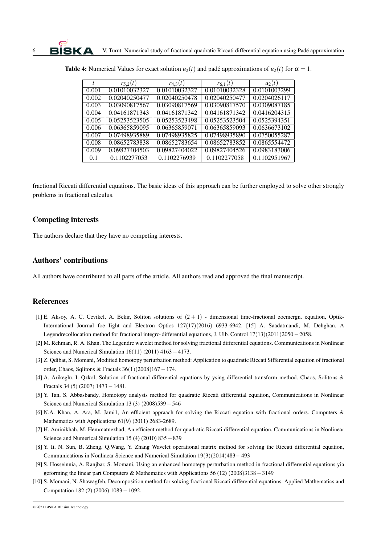|       | $r_{5,2}(t)$  | $r_{4,3}(t)$  | $r_{6,1}(t)$  | $u_2(t)$     |
|-------|---------------|---------------|---------------|--------------|
| 0.001 | 0.01010032327 | 0.01010032327 | 0.01010032328 | 0.0101003299 |
| 0.002 | 0.02040250477 | 0.02040250478 | 0.02040250477 | 0.0204026117 |
| 0.003 | 0.03090817567 | 0.03090817569 | 0.03090817570 | 0.0309087185 |
| 0.004 | 0.04161871343 | 0.04161871342 | 0.04161871342 | 0.0416204315 |
| 0.005 | 0.05253523505 | 0.05253523498 | 0.05253523504 | 0.0525394351 |
| 0.006 | 0.06365859095 | 0.06365859071 | 0.06365859093 | 0.0636673102 |
| 0.007 | 0.07498935889 | 0.07498935825 | 0.07498935890 | 0.0750055287 |
| 0.008 | 0.08652783838 | 0.08652783654 | 0.08652783852 | 0.0865554472 |
| 0.009 | 0.09827404503 | 0.09827404022 | 0.09827404526 | 0.0983183006 |
| 0.1   | 0.1102277053  | 0.1102276939  | 0.1102277058  | 0.1102951967 |

| <b>Table 4:</b> Numerical Values for exact solution $u_2(t)$ and padé approximations of $u_2(t)$ for $\alpha = 1$ . |  |
|---------------------------------------------------------------------------------------------------------------------|--|
|---------------------------------------------------------------------------------------------------------------------|--|

fractional Riccati differential equations. The basic ideas of this approach can be further employed to solve other strongly problems in fractional calculus.

### Competing interests

The authors declare that they have no competing interests.

## Authors' contributions

All authors have contributed to all parts of the article. All authors read and approved the final manuscript.

## References

- [1] E. Aksoy, A. C. Cevikel, A. Bekir, Soliton solutions of  $(2 + 1)$  dimensional time-fractional zoemergn. equation, Optik-International Journal foe Iight and Electron Optics 127(17)(2016) 6933-6942. [15] A. Saadatmandi, M. Dehghan. A Legendrecollocation method for fractional integro-differential equations, J. Uib. Control 17(13)(2011)2050−2058.
- [2] M. Rehman, R. A. Khan. The Legendre wavelet method for solving fractional differential equations. Communications in Nonlinear Science and Numerical Simulation 16(11) (2011) 4163−4173.
- [3] Z. Qdibat, S. Momani, Modified homotopy perturbation method: Application to quadratic Riccati Sifferential equation of fractional order, Chaos, Sqlitons & Fractals 36(1)(2008)167−174.
- [4] A. Arikeglu. I. Qzkol, Solution of fractional differential equations by ysing differential transform method. Chaos, Solitons & Fractals 34 (5) (2007) 1473−1481.
- [5] Y. Tan, S. Abbasbandy, Homotopy analysis method for quadratic Riccati differential equation, Communications in Nonlinear Science and Numerical Simulation 13 (3) (2008)539−546
- [6] N.A. Khan, A. Ara, M. Jami1, An efficient appraach for solving the Riccati equation with fractional orders. Computers & Mathematics with Applications 61(9) (2011) 2683-2689.
- [7] H. Aminikhah, M. Hemmatnezhad, An efficient method for quadratic Riccati differential equation. Communications in Nonlinear Science and Numerical Simulation 15 (4) (2010) 835−839
- [8] Y. Ii, N. Sun, B. Zheng, Q.Wang, Y. Zhang Wavelet operational matrix method for solving the Riccati differential equation, Communications in Nonlinear Science and Numerical Simulation 19(3)(2014)483− 493
- [9] S. Hosseinnia, A. Ranjbar, S. Momani, Using an enhanced homotepy perturbation method in fractional differential equations yia geforming the linear part Computers & Mathematics with Applications 56 (12) (2008)3138−3149
- [10] S. Momani, N. Shawagfeh, Decomposition method for solxing fractional Riccati differential equations, Applied Mathematics and Computation 182 (2) (2006) 1083−1092.